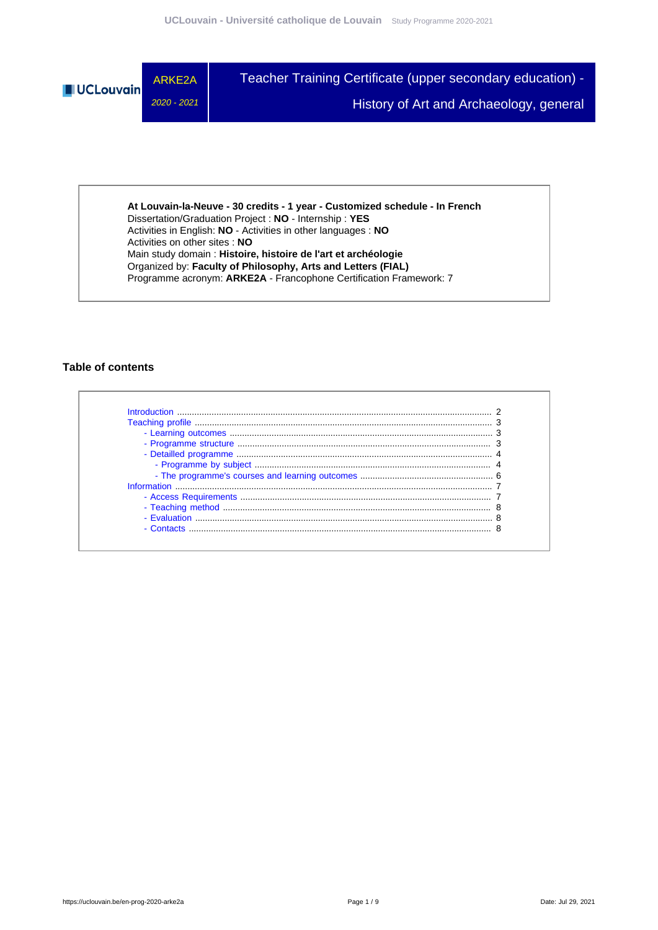

**At Louvain-la-Neuve - 30 credits - 1 year - Customized schedule - In French** Dissertation/Graduation Project : **NO** - Internship : **YES** Activities in English: **NO** - Activities in other languages : **NO** Activities on other sites : **NO** Main study domain : **Histoire, histoire de l'art et archéologie** Organized by: **Faculty of Philosophy, Arts and Letters (FIAL)** Programme acronym: **ARKE2A** - Francophone Certification Framework: 7

### **Table of contents**

| Introduction       |  |
|--------------------|--|
|                    |  |
|                    |  |
|                    |  |
|                    |  |
|                    |  |
|                    |  |
| <b>Information</b> |  |
|                    |  |
|                    |  |
| - Evaluation       |  |
| - Contacts         |  |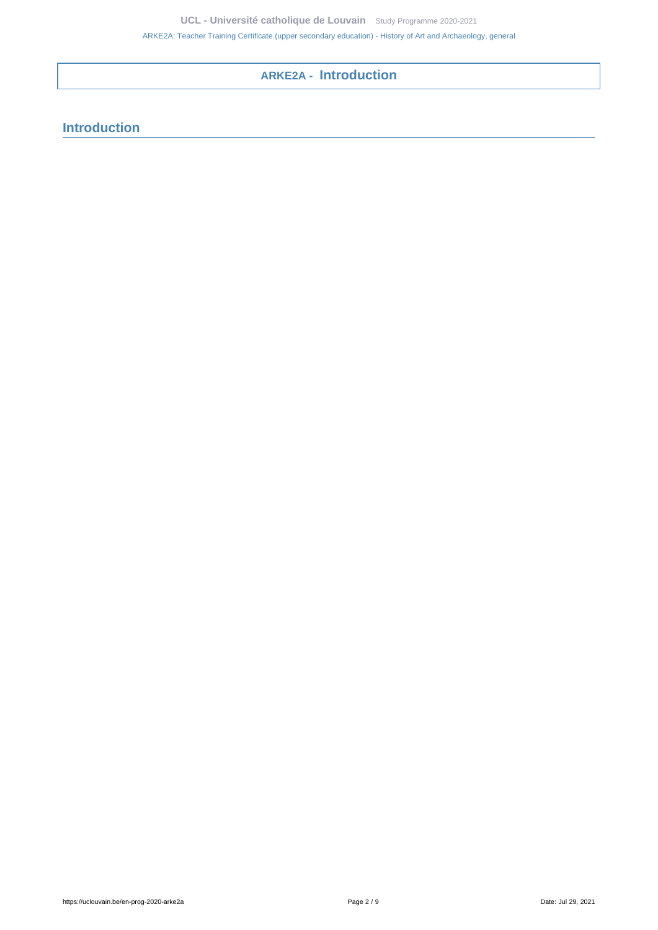# **ARKE2A - Introduction**

# <span id="page-1-0"></span>**Introduction**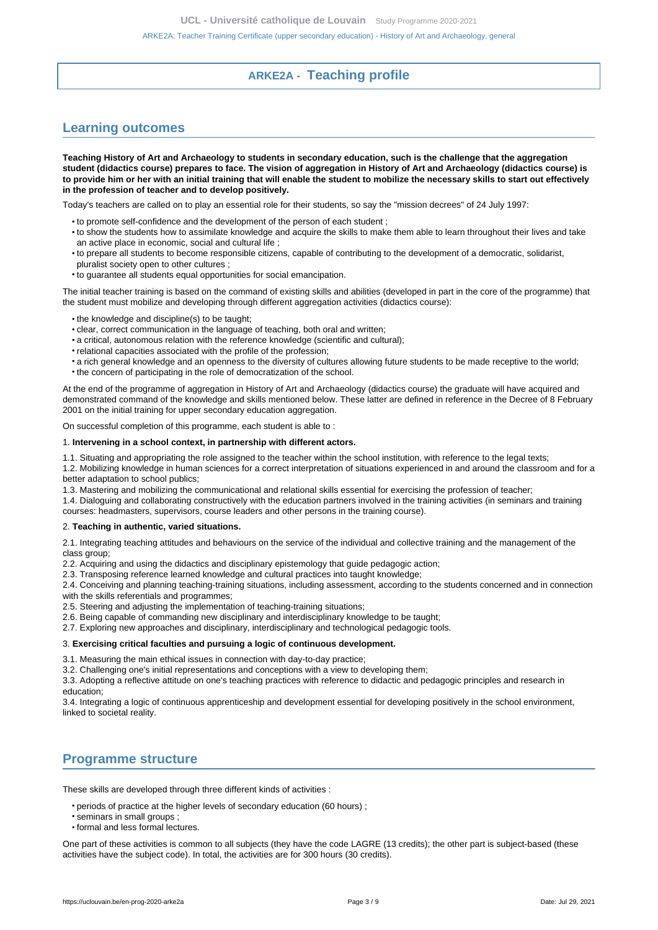## **ARKE2A - Teaching profile**

## <span id="page-2-1"></span><span id="page-2-0"></span>**Learning outcomes**

**Teaching History of Art and Archaeology to students in secondary education, such is the challenge that the aggregation student (didactics course) prepares to face. The vision of aggregation in History of Art and Archaeology (didactics course) is to provide him or her with an initial training that will enable the student to mobilize the necessary skills to start out effectively in the profession of teacher and to develop positively.**

Today's teachers are called on to play an essential role for their students, so say the "mission decrees" of 24 July 1997:

- to promote self-confidence and the development of the person of each student ;
- to show the students how to assimilate knowledge and acquire the skills to make them able to learn throughout their lives and take an active place in economic, social and cultural life ;
- to prepare all students to become responsible citizens, capable of contributing to the development of a democratic, solidarist, pluralist society open to other cultures ;
- to guarantee all students equal opportunities for social emancipation.

The initial teacher training is based on the command of existing skills and abilities (developed in part in the core of the programme) that the student must mobilize and developing through different aggregation activities (didactics course):

- the knowledge and discipline(s) to be taught;
- clear, correct communication in the language of teaching, both oral and written;
- a critical, autonomous relation with the reference knowledge (scientific and cultural);
- relational capacities associated with the profile of the profession;
- a rich general knowledge and an openness to the diversity of cultures allowing future students to be made receptive to the world;
- the concern of participating in the role of democratization of the school.

At the end of the programme of aggregation in History of Art and Archaeology (didactics course) the graduate will have acquired and demonstrated command of the knowledge and skills mentioned below. These latter are defined in reference in the Decree of 8 February 2001 on the initial training for upper secondary education aggregation.

On successful completion of this programme, each student is able to :

#### 1. **Intervening in a school context, in partnership with different actors.**

1.1. Situating and appropriating the role assigned to the teacher within the school institution, with reference to the legal texts;

1.2. Mobilizing knowledge in human sciences for a correct interpretation of situations experienced in and around the classroom and for a better adaptation to school publics;

1.3. Mastering and mobilizing the communicational and relational skills essential for exercising the profession of teacher;

1.4. Dialoguing and collaborating constructively with the education partners involved in the training activities (in seminars and training courses: headmasters, supervisors, course leaders and other persons in the training course).

#### 2. **Teaching in authentic, varied situations.**

2.1. Integrating teaching attitudes and behaviours on the service of the individual and collective training and the management of the class group;

2.2. Acquiring and using the didactics and disciplinary epistemology that guide pedagogic action;

2.3. Transposing reference learned knowledge and cultural practices into taught knowledge;

2.4. Conceiving and planning teaching-training situations, including assessment, according to the students concerned and in connection with the skills referentials and programmes:

2.5. Steering and adjusting the implementation of teaching-training situations;

2.6. Being capable of commanding new disciplinary and interdisciplinary knowledge to be taught;

2.7. Exploring new approaches and disciplinary, interdisciplinary and technological pedagogic tools.

#### 3. **Exercising critical faculties and pursuing a logic of continuous development.**

3.1. Measuring the main ethical issues in connection with day-to-day practice;

3.2. Challenging one's initial representations and conceptions with a view to developing them;

3.3. Adopting a reflective attitude on one's teaching practices with reference to didactic and pedagogic principles and research in education;

3.4. Integrating a logic of continuous apprenticeship and development essential for developing positively in the school environment, linked to societal reality.

# <span id="page-2-2"></span>**Programme structure**

These skills are developed through three different kinds of activities :

• periods of practice at the higher levels of secondary education (60 hours) ;

- seminars in small groups ;
- formal and less formal lectures.

One part of these activities is common to all subjects (they have the code LAGRE (13 credits); the other part is subject-based (these activities have the subject code). In total, the activities are for 300 hours (30 credits).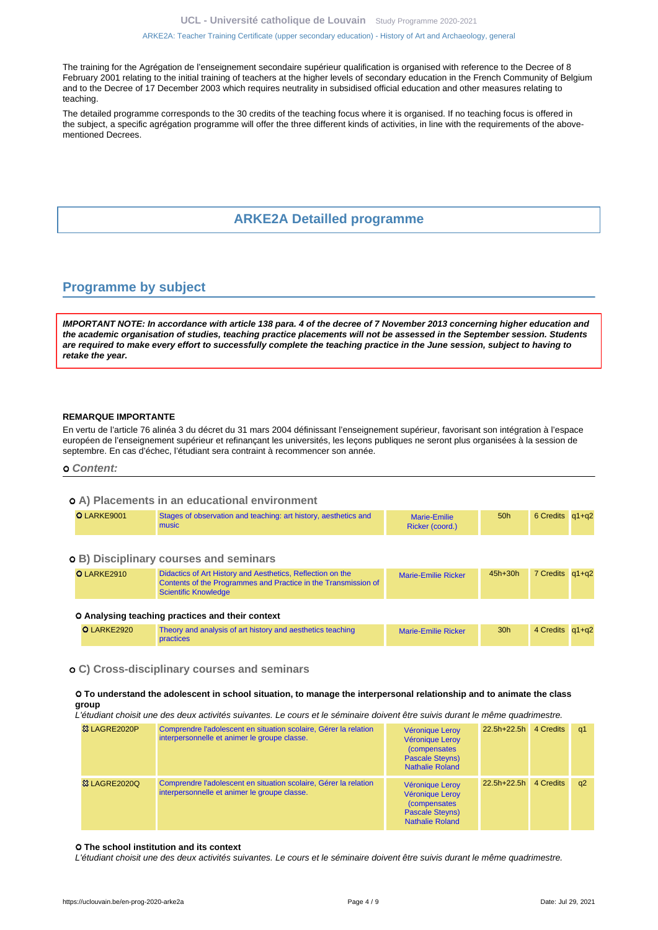#### [ARKE2A: Teacher Training Certificate \(upper secondary education\) - History of Art and Archaeology, general](https://uclouvain.be/en-prog-2020-arke2a.html)

The training for the Agrégation de l'enseignement secondaire supérieur qualification is organised with reference to the Decree of 8 February 2001 relating to the initial training of teachers at the higher levels of secondary education in the French Community of Belgium and to the Decree of 17 December 2003 which requires neutrality in subsidised official education and other measures relating to teaching.

The detailed programme corresponds to the 30 credits of the teaching focus where it is organised. If no teaching focus is offered in the subject, a specific agrégation programme will offer the three different kinds of activities, in line with the requirements of the abovementioned Decrees.

### **ARKE2A Detailled programme**

### <span id="page-3-1"></span><span id="page-3-0"></span>**Programme by subject**

**IMPORTANT NOTE: In accordance with article 138 para. 4 of the decree of 7 November 2013 concerning higher education and the academic organisation of studies, teaching practice placements will not be assessed in the September session. Students are required to make every effort to successfully complete the teaching practice in the June session, subject to having to retake the year.**

#### **REMARQUE IMPORTANTE**

En vertu de l'article 76 alinéa 3 du décret du 31 mars 2004 définissant l'enseignement supérieur, favorisant son intégration à l'espace européen de l'enseignement supérieur et refinançant les universités, les leçons publiques ne seront plus organisées à la session de septembre. En cas d'échec, l'étudiant sera contraint à recommencer son année.

#### **Content:**

#### **A) Placements in an educational environment**

| O LARKE9001 | Stages of observation and teaching: art history, aesthetics and<br>music                                                                                    | <b>Marie-Emilie</b><br>Ricker (coord.) | 50h             | 6 Credits q1+q2 |  |
|-------------|-------------------------------------------------------------------------------------------------------------------------------------------------------------|----------------------------------------|-----------------|-----------------|--|
|             | <b>o</b> B) Disciplinary courses and seminars                                                                                                               |                                        |                 |                 |  |
| O LARKE2910 | Didactics of Art History and Aesthetics, Reflection on the<br>Contents of the Programmes and Practice in the Transmission of<br><b>Scientific Knowledge</b> | <b>Marie-Emilie Ricker</b>             | $45h+30h$       | 7 Credits q1+q2 |  |
|             | O Analysing teaching practices and their context                                                                                                            |                                        |                 |                 |  |
| O LARKE2920 | Theory and analysis of art history and aesthetics teaching<br><b>practices</b>                                                                              | <b>Marie-Emilie Ricker</b>             | 30 <sub>h</sub> | 4 Credits q1+q2 |  |

#### **C) Cross-disciplinary courses and seminars**

#### **To understand the adolescent in school situation, to manage the interpersonal relationship and to animate the class group**

L'étudiant choisit une des deux activités suivantes. Le cours et le séminaire doivent être suivis durant le même quadrimestre.

| 83 LAGRE2020P           | Comprendre l'adolescent en situation scolaire, Gérer la relation<br>interpersonnelle et animer le groupe classe. | Véronique Leroy<br>Véronique Leroy<br><i>(compensates)</i><br><b>Pascale Steyns)</b><br><b>Nathalie Roland</b>        | 22.5h+22.5h 4 Credits |           | -a1 |
|-------------------------|------------------------------------------------------------------------------------------------------------------|-----------------------------------------------------------------------------------------------------------------------|-----------------------|-----------|-----|
| <b>&amp; LAGRE2020Q</b> | Comprendre l'adolescent en situation scolaire, Gérer la relation<br>interpersonnelle et animer le groupe classe. | Véronique Leroy<br><b>Véronique Leroy</b><br><i>(compensates)</i><br><b>Pascale Steyns)</b><br><b>Nathalie Roland</b> | $22.5h+22.5h$         | 4 Credits | a2  |

#### **The school institution and its context**

L'étudiant choisit une des deux activités suivantes. Le cours et le séminaire doivent être suivis durant le même quadrimestre.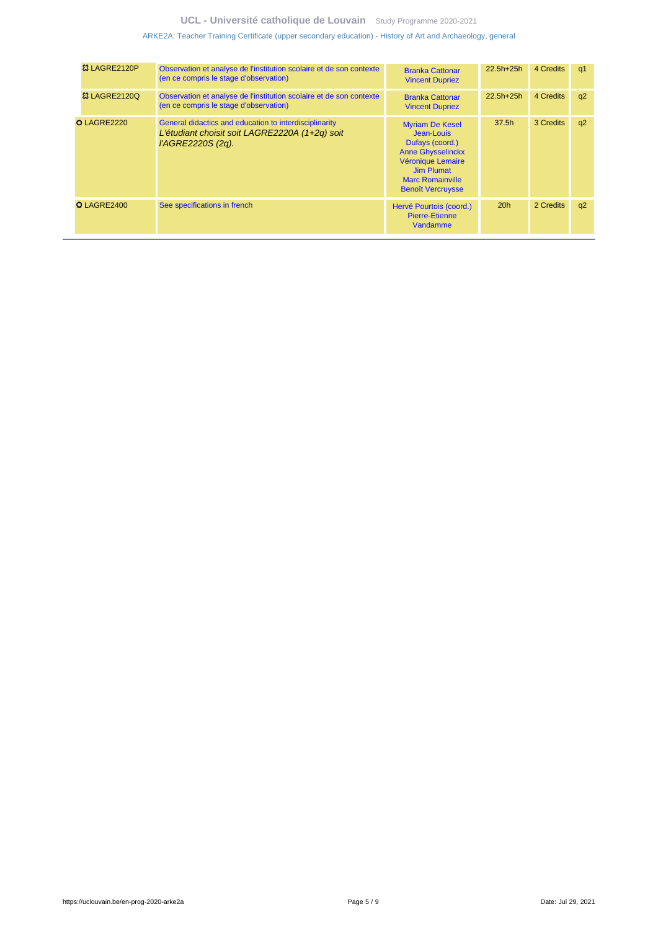### **UCL - Université catholique de Louvain** [Study Programme 2020-2021](https://uclouvain.be/en/study-programme)

[ARKE2A: Teacher Training Certificate \(upper secondary education\) - History of Art and Archaeology, general](https://uclouvain.be/en-prog-2020-arke2a.html)

| 83 LAGRE2120P           | Observation et analyse de l'institution scolaire et de son contexte<br>(en ce compris le stage d'observation)                 | <b>Branka Cattonar</b><br><b>Vincent Dupriez</b>                                                                                                                                     | $22.5h+25h$       | 4 Credits | q1 |
|-------------------------|-------------------------------------------------------------------------------------------------------------------------------|--------------------------------------------------------------------------------------------------------------------------------------------------------------------------------------|-------------------|-----------|----|
| <b>&amp; LAGRE2120Q</b> | Observation et analyse de l'institution scolaire et de son contexte<br>(en ce compris le stage d'observation)                 | <b>Branka Cattonar</b><br><b>Vincent Dupriez</b>                                                                                                                                     | $22.5h+25h$       | 4 Credits | q2 |
| O LAGRE2220             | General didactics and education to interdisciplinarity<br>L'étudiant choisit soit LAGRE2220A (1+2q) soit<br>l'AGRE2220S (2q). | <b>Myriam De Kesel</b><br>Jean-Louis<br>Dufays (coord.)<br><b>Anne Ghysselinckx</b><br>Véronique Lemaire<br><b>Jim Plumat</b><br><b>Marc Romainville</b><br><b>Benoît Vercruysse</b> | 37.5 <sub>h</sub> | 3 Credits | q2 |
| O LAGRE2400             | See specifications in french                                                                                                  | Hervé Pourtois (coord.)<br><b>Pierre-Etienne</b><br>Vandamme                                                                                                                         | 20h               | 2 Credits | q2 |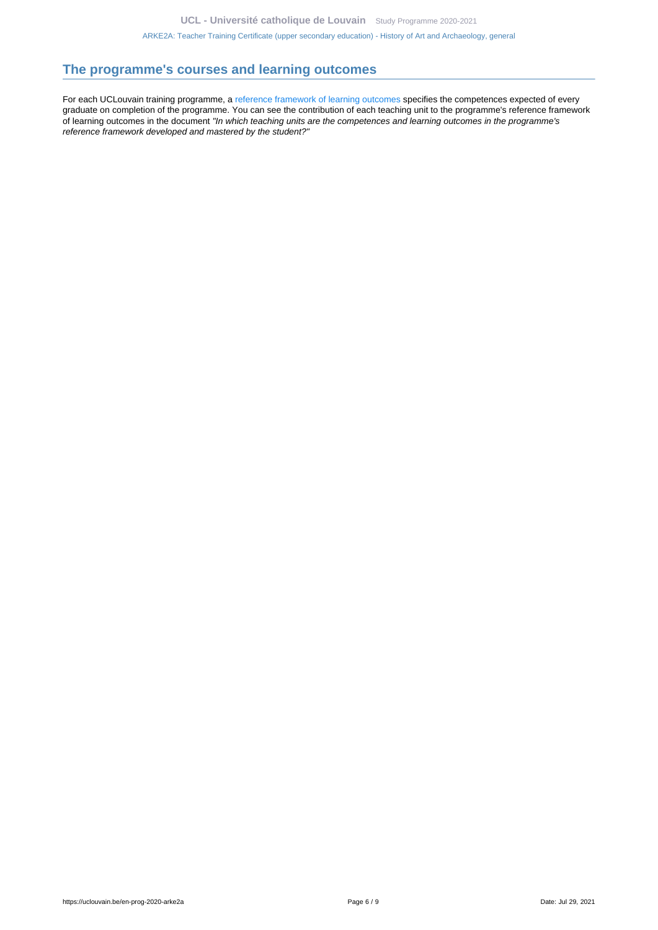### <span id="page-5-0"></span>**The programme's courses and learning outcomes**

For each UCLouvain training programme, a [reference framework of learning outcomes](https://uclouvain.be/en-prog-2020-arke2a-competences_et_acquis.html) specifies the competences expected of every graduate on completion of the programme. You can see the contribution of each teaching unit to the programme's reference framework of learning outcomes in the document "In which teaching units are the competences and learning outcomes in the programme's reference framework developed and mastered by the student?"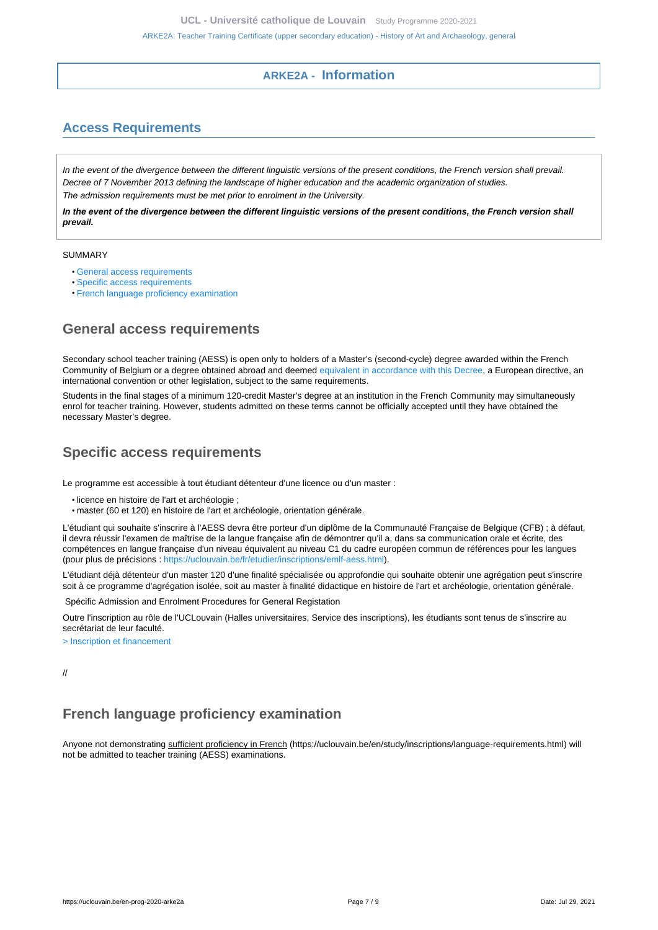### **ARKE2A - Information**

# <span id="page-6-1"></span><span id="page-6-0"></span>**Access Requirements**

In the event of the divergence between the different linguistic versions of the present conditions, the French version shall prevail. Decree of 7 November 2013 defining the landscape of higher education and the academic organization of studies. The admission requirements must be met prior to enrolment in the University.

**In the event of the divergence between the different linguistic versions of the present conditions, the French version shall prevail.**

#### SUMMARY

- [General access requirements](#page-6-2)
- [Specific access requirements](#page-6-3)
- [French language proficiency examination](#page-6-4)

### <span id="page-6-2"></span>**General access requirements**

Secondary school teacher training (AESS) is open only to holders of a Master's (second-cycle) degree awarded within the French Community of Belgium or a degree obtained abroad and deemed [equivalent in accordance with this Decree,](http://www.equivalences.cfwb.be/) a European directive, an international convention or other legislation, subject to the same requirements.

Students in the final stages of a minimum 120-credit Master's degree at an institution in the French Community may simultaneously enrol for teacher training. However, students admitted on these terms cannot be officially accepted until they have obtained the necessary Master's degree.

### <span id="page-6-3"></span>**Specific access requirements**

Le programme est accessible à tout étudiant détenteur d'une licence ou d'un master :

- licence en histoire de l'art et archéologie ;
- master (60 et 120) en histoire de l'art et archéologie, orientation générale.

L'étudiant qui souhaite s'inscrire à l'AESS devra être porteur d'un diplôme de la Communauté Française de Belgique (CFB) ; à défaut, il devra réussir l'examen de maîtrise de la langue française afin de démontrer qu'il a, dans sa communication orale et écrite, des compétences en langue française d'un niveau équivalent au niveau C1 du cadre européen commun de références pour les langues (pour plus de précisions :<https://uclouvain.be/fr/etudier/inscriptions/emlf-aess.html>).

L'étudiant déjà détenteur d'un master 120 d'une finalité spécialisée ou approfondie qui souhaite obtenir une agrégation peut s'inscrire soit à ce programme d'agrégation isolée, soit au master à finalité didactique en histoire de l'art et archéologie, orientation générale.

Spécific Admission and Enrolment Procedures for General Registation

Outre l'inscription au rôle de l'UCLouvain (Halles universitaires, Service des inscriptions), les étudiants sont tenus de s'inscrire au secrétariat de leur faculté.

[> Inscription et financement](https://uclouvain.be/inscription)

//

# <span id="page-6-4"></span>**French language proficiency examination**

Anyone not demonstrating sufficient proficiency in French (https://uclouvain.be/en/study/inscriptions/language-requirements.html) will not be admitted to teacher training (AESS) examinations.